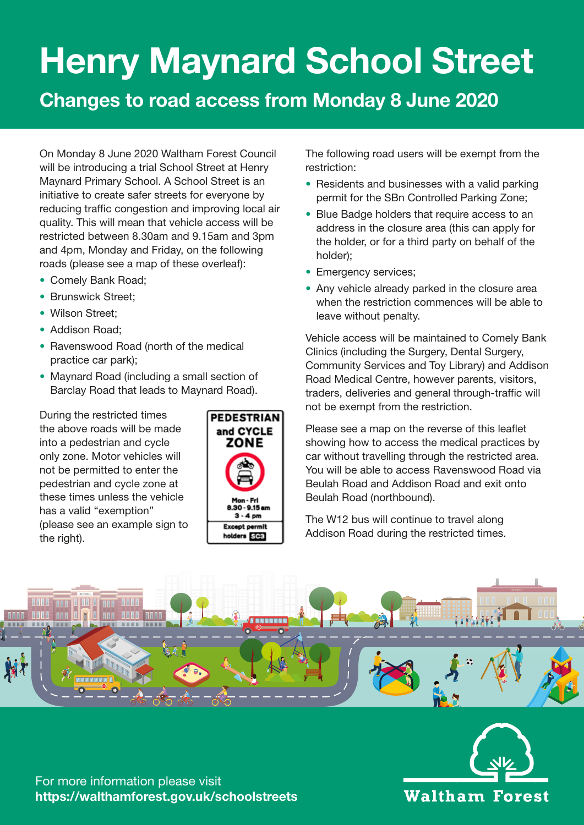## **Henry Maynard School Street**<br>Changes to road access from Monday 8 June 2020

On Monday 8 June 2020 Waltham Forest Council will be introducing a trial School Street at Henry Maynard Primary School. A School Street is an initiative to create safer streets for everyone by reducing traffic congestion and improving local air quality. This will mean that vehicle access will be restricted between 8.30am and 9.15am and 3pm and 4pm, Monday and Friday, on the following roads (please see a map of these overleaf):

- Comely Bank Road;
- Brunswick Street:
- Wilson Street:
- Addison Road:
- Ravenswood Road (north of the medical practice car park);
- Maynard Road (including a small section of Barclay Road that leads to Maynard Road).

During the restricted times the above roads will be made into a pedestrian and cycle only zone. Motor vehicles will not be permitted to enter the pedestrian and cycle zone at these times unless the vehicle has a valid "exemption" (please see an example sign to the right).



The following road users will be exempt from the restriction:

- Residents and businesses with a valid parking permit for the SBn Controlled Parking Zone;
- Blue Badge holders that require access to an address in the closure area (this can apply for the holder, or for a third party on behalf of the holder);
- Emergency services:
- Any vehicle already parked in the closure area when the restriction commences will be able to leave without penalty.

Vehicle access will be maintained to Comely Bank Clinics (including the Surgery, Dental Surgery, Community Services and Toy Library) and Addison Road Medical Centre, however parents, visitors, traders, deliveries and general through-traffic will not be exempt from the restriction.

Please see a map on the reverse of this leaflet showing how to access the medical practices by car without travelling through the restricted area. You will be able to access Ravenswood Road via Beulah Road and Addison Road and exit onto Beulah Road (northbound).

The W12 bus will continue to travel along Addison Road during the restricted times.





For more information please visit https://walthamforest.gov.uk/schoolstreets